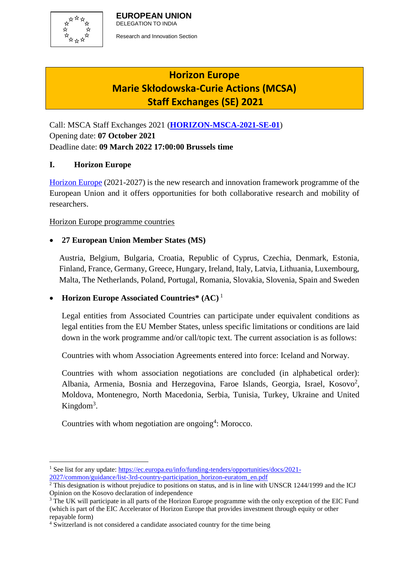

# **Horizon Europe Marie Skłodowska-Curie Actions (MCSA) Staff Exchanges (SE) 2021**

Call: MSCA Staff Exchanges 2021 (**[HORIZON-MSCA-2021-SE-01](https://ec.europa.eu/info/funding-tenders/opportunities/portal/screen/opportunities/topic-details/horizon-msca-2021-se-01-01;callCode=null;freeTextSearchKeyword=;matchWholeText=true;typeCodes=1,0;statusCodes=31094501,31094502,31094503;programmePeriod=2021%20-%202027;programCcm2Id=43108390;programDivisionCode=43108473;focusAreaCode=null;destination=null;mission=null;geographicalZonesCode=null;programmeDivisionProspect=null;startDateLte=null;startDateGte=null;crossCuttingPriorityCode=null;cpvCode=null;performanceOfDelivery=null;sortQuery=sortStatus;orderBy=asc;onlyTenders=false;topicListKey=topicSearchTablePageState)**) Opening date: **07 October 2021** Deadline date: **09 March 2022 17:00:00 Brussels time**

## **I. Horizon Europe**

[Horizon Europe](https://ec.europa.eu/info/funding-tenders/opportunities/portal/screen/programmes/horizon) (2021-2027) is the new research and innovation framework programme of the European Union and it offers opportunities for both collaborative research and mobility of researchers.

Horizon Europe programme countries

# **27 European Union Member States (MS)**

Austria, Belgium, Bulgaria, Croatia, Republic of Cyprus, Czechia, Denmark, Estonia, Finland, France, Germany, Greece, Hungary, Ireland, Italy, Latvia, Lithuania, Luxembourg, Malta, The Netherlands, Poland, Portugal, Romania, Slovakia, Slovenia, Spain and Sweden

## **Horizon Europe Associated Countries\* (AC)** <sup>1</sup>

Legal entities from Associated Countries can participate under equivalent conditions as legal entities from the EU Member States, unless specific limitations or conditions are laid down in the work programme and/or call/topic text. The current association is as follows:

Countries with whom Association Agreements entered into force: Iceland and Norway.

Countries with whom association negotiations are concluded (in alphabetical order): Albania, Armenia, Bosnia and Herzegovina, Faroe Islands, Georgia, Israel, Kosovo<sup>2</sup>, Moldova, Montenegro, North Macedonia, Serbia, Tunisia, Turkey, Ukraine and United Kingdom<sup>3</sup>.

Countries with whom negotiation are ongoing<sup>4</sup>: Morocco.

<sup>1</sup> <sup>1</sup> See list for any update: [https://ec.europa.eu/info/funding-tenders/opportunities/docs/2021-](https://ec.europa.eu/info/funding-tenders/opportunities/docs/2021-2027/common/guidance/list-3rd-country-participation_horizon-euratom_en.pdf) [2027/common/guidance/list-3rd-country-participation\\_horizon-euratom\\_en.pdf](https://ec.europa.eu/info/funding-tenders/opportunities/docs/2021-2027/common/guidance/list-3rd-country-participation_horizon-euratom_en.pdf)

<sup>&</sup>lt;sup>2</sup> This designation is without prejudice to positions on status, and is in line with UNSCR 1244/1999 and the ICJ Opinion on the Kosovo declaration of independence

<sup>&</sup>lt;sup>3</sup> The UK will participate in all parts of the Horizon Europe programme with the only exception of the EIC Fund (which is part of the EIC Accelerator of Horizon Europe that provides investment through equity or other repayable form)

<sup>&</sup>lt;sup>4</sup> Switzerland is not considered a candidate associated country for the time being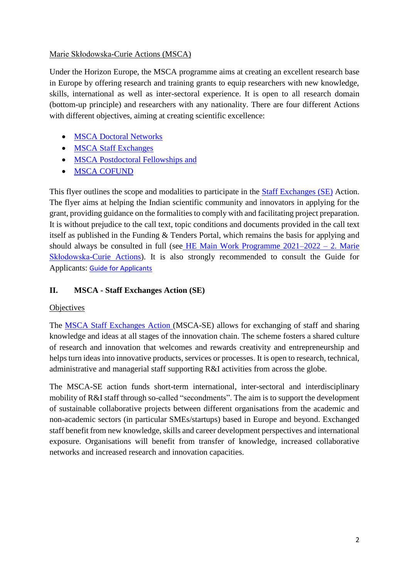#### Marie Skłodowska-Curie Actions (MSCA)

Under the Horizon Europe, the MSCA programme aims at creating an excellent research base in Europe by offering research and training grants to equip researchers with new knowledge, skills, international as well as inter-sectoral experience. It is open to all research domain (bottom-up principle) and researchers with any nationality. There are four different Actions with different objectives, aiming at creating scientific excellence:

- [MSCA Doctoral Networks](https://ec.europa.eu/info/funding-tenders/opportunities/portal/screen/opportunities/topic-details/horizon-msca-2021-dn-01-01;callCode=null;freeTextSearchKeyword=MSCA;matchWholeText=true;typeCodes=1;statusCodes=31094501,31094502;programmePeriod=null;programCcm2Id=null;programDivisionCode=null;focusAreaCode=null;destination=null;mission=null;geographicalZonesCode=null;programmeDivisionProspect=null;startDateLte=null;startDateGte=null;crossCuttingPriorityCode=null;cpvCode=null;performanceOfDelivery=null;sortQuery=sortStatus;orderBy=asc;onlyTenders=false;topicListKey=callTopicSearchTableState)
- [MSCA Staff Exchanges](https://ec.europa.eu/info/funding-tenders/opportunities/portal/screen/opportunities/topic-details/horizon-msca-2021-se-01-01;callCode=null;freeTextSearchKeyword=MSCA;matchWholeText=true;typeCodes=1;statusCodes=31094501,31094502;programmePeriod=null;programCcm2Id=null;programDivisionCode=null;focusAreaCode=null;destination=null;mission=null;geographicalZonesCode=null;programmeDivisionProspect=null;startDateLte=null;startDateGte=null;crossCuttingPriorityCode=null;cpvCode=null;performanceOfDelivery=null;sortQuery=sortStatus;orderBy=asc;onlyTenders=false;topicListKey=callTopicSearchTableState)
- [MSCA Postdoctoral Fellowships](https://ec.europa.eu/info/funding-tenders/opportunities/portal/screen/opportunities/topic-details/horizon-msca-2022-pf-01-01;callCode=null;freeTextSearchKeyword=MSCA;matchWholeText=true;typeCodes=1;statusCodes=31094501;programmePeriod=null;programCcm2Id=null;programDivisionCode=null;focusAreaCode=null;destination=null;mission=null;geographicalZonesCode=null;programmeDivisionProspect=null;startDateLte=null;startDateGte=null;crossCuttingPriorityCode=null;cpvCode=null;performanceOfDelivery=null;sortQuery=sortStatus;orderBy=asc;onlyTenders=false;topicListKey=callTopicSearchTableState) and
- [MSCA COFUND](https://ec.europa.eu/info/funding-tenders/opportunities/portal/screen/opportunities/topic-details/horizon-msca-2021-pf-01-01;callCode=null;freeTextSearchKeyword=MSCA;matchWholeText=true;typeCodes=1;statusCodes=31094501,31094502;programmePeriod=null;programCcm2Id=null;programDivisionCode=null;focusAreaCode=null;destination=null;mission=null;geographicalZonesCode=null;programmeDivisionProspect=null;startDateLte=null;startDateGte=null;crossCuttingPriorityCode=null;cpvCode=null;performanceOfDelivery=null;sortQuery=sortStatus;orderBy=asc;onlyTenders=false;topicListKey=callTopicSearchTableState)

This flyer outlines the scope and modalities to participate in the [Staff Exchanges](https://ec.europa.eu/info/funding-tenders/opportunities/portal/screen/opportunities/topic-details/horizon-msca-2021-se-01-01;callCode=null;freeTextSearchKeyword=MSCA;matchWholeText=true;typeCodes=1;statusCodes=31094501,31094502;programmePeriod=null;programCcm2Id=null;programDivisionCode=null;focusAreaCode=null;destination=null;mission=null;geographicalZonesCode=null;programmeDivisionProspect=null;startDateLte=null;startDateGte=null;crossCuttingPriorityCode=null;cpvCode=null;performanceOfDelivery=null;sortQuery=sortStatus;orderBy=asc;onlyTenders=false;topicListKey=callTopicSearchTableState) (SE) Action. The flyer aims at helping the Indian scientific community and innovators in applying for the grant, providing guidance on the formalities to comply with and facilitating project preparation. It is without prejudice to the call text, topic conditions and documents provided in the call text itself as published in the Funding & Tenders Portal, which remains the basis for applying and should always be consulted in full (see [HE Main Work Programme 2021–2022 –](https://ec.europa.eu/info/funding-tenders/opportunities/docs/2021-2027/horizon/wp-call/2021-2022/wp-2-msca-actions_horizon-2021-2022_en.pdf) 2. Marie [Skłodowska-Curie Actions\)](https://ec.europa.eu/info/funding-tenders/opportunities/docs/2021-2027/horizon/wp-call/2021-2022/wp-2-msca-actions_horizon-2021-2022_en.pdf). It is also strongly recommended to consult the Guide for Applicants: [Guide for Applicants](https://rea.ec.europa.eu/system/files/2021-10/MSCA%20SE%202021%20-%20Guide%20for%20applicants_0.pdf)

# **II. MSCA - Staff Exchanges Action (SE)**

## **Objectives**

The [MSCA Staff Exchanges](https://ec.europa.eu/research/mariecurieactions/actions/staff-exchanges) Action (MSCA-SE) allows for exchanging of staff and sharing knowledge and ideas at all stages of the innovation chain. The scheme fosters a shared culture of research and innovation that welcomes and rewards creativity and entrepreneurship and helps turn ideas into innovative products, services or processes. It is open to research, technical, administrative and managerial staff supporting R&I activities from across the globe.

The MSCA-SE action funds short-term international, inter-sectoral and interdisciplinary mobility of R&I staff through so-called "secondments". The aim is to support the development of sustainable collaborative projects between different organisations from the academic and non-academic sectors (in particular SMEs/startups) based in Europe and beyond. Exchanged staff benefit from new knowledge, skills and career development perspectives and international exposure. Organisations will benefit from transfer of knowledge, increased collaborative networks and increased research and innovation capacities.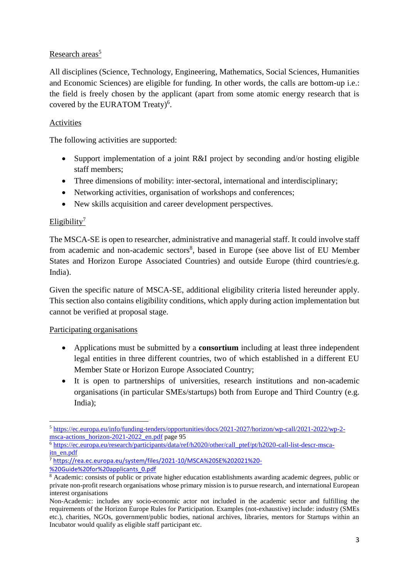# Research areas<sup>5</sup>

All disciplines (Science, Technology, Engineering, Mathematics, Social Sciences, Humanities and Economic Sciences) are eligible for funding. In other words, the calls are bottom-up i.e.: the field is freely chosen by the applicant (apart from some atomic energy research that is covered by the EURATOM Treaty)<sup>6</sup>.

#### Activities

The following activities are supported:

- Support implementation of a joint R&I project by seconding and/or hosting eligible staff members;
- Three dimensions of mobility: inter-sectoral, international and interdisciplinary;
- Networking activities, organisation of workshops and conferences;
- New skills acquisition and career development perspectives.

## Eligibility $^7$

The MSCA-SE is open to researcher, administrative and managerial staff. It could involve staff from academic and non-academic sectors<sup>8</sup>, based in Europe (see above list of EU Member States and Horizon Europe Associated Countries) and outside Europe (third countries/e.g. India).

Given the specific nature of MSCA-SE, additional eligibility criteria listed hereunder apply. This section also contains eligibility conditions, which apply during action implementation but cannot be verified at proposal stage.

#### Participating organisations

- Applications must be submitted by a **consortium** including at least three independent legal entities in three different countries, two of which established in a different EU Member State or Horizon Europe Associated Country;
- It is open to partnerships of universities, research institutions and non-academic organisations (in particular SMEs/startups) both from Europe and Third Country (e.g. India);

<sup>6</sup> [https://ec.europa.eu/research/participants/data/ref/h2020/other/call\\_ptef/pt/h2020-call-list-descr-msca](https://ec.europa.eu/research/participants/data/ref/h2020/other/call_ptef/pt/h2020-call-list-descr-msca-itn_en.pdf)[itn\\_en.pdf](https://ec.europa.eu/research/participants/data/ref/h2020/other/call_ptef/pt/h2020-call-list-descr-msca-itn_en.pdf)

**<sup>.</sup>** <sup>5</sup> [https://ec.europa.eu/info/funding-tenders/opportunities/docs/2021-2027/horizon/wp-call/2021-2022/wp-2](https://ec.europa.eu/info/funding-tenders/opportunities/docs/2021-2027/horizon/wp-call/2021-2022/wp-2-msca-actions_horizon-2021-2022_en.pdf) [msca-actions\\_horizon-2021-2022\\_en.pdf](https://ec.europa.eu/info/funding-tenders/opportunities/docs/2021-2027/horizon/wp-call/2021-2022/wp-2-msca-actions_horizon-2021-2022_en.pdf) page 95

<sup>7</sup> [https://rea.ec.europa.eu/system/files/2021-10/MSCA%20SE%202021%20-](https://rea.ec.europa.eu/system/files/2021-10/MSCA%20SE%202021%20-%20Guide%20for%20applicants_0.pdf) [%20Guide%20for%20applicants\\_0.pdf](https://rea.ec.europa.eu/system/files/2021-10/MSCA%20SE%202021%20-%20Guide%20for%20applicants_0.pdf)

<sup>&</sup>lt;sup>8</sup> Academic: consists of public or private higher education establishments awarding academic degrees, public or private non-profit research organisations whose primary mission is to pursue research, and international European interest organisations

Non-Academic: includes any socio-economic actor not included in the academic sector and fulfilling the requirements of the Horizon Europe Rules for Participation. Examples (not-exhaustive) include: industry (SMEs etc.), charities, NGOs, government/public bodies, national archives, libraries, mentors for Startups within an Incubator would qualify as eligible staff participant etc.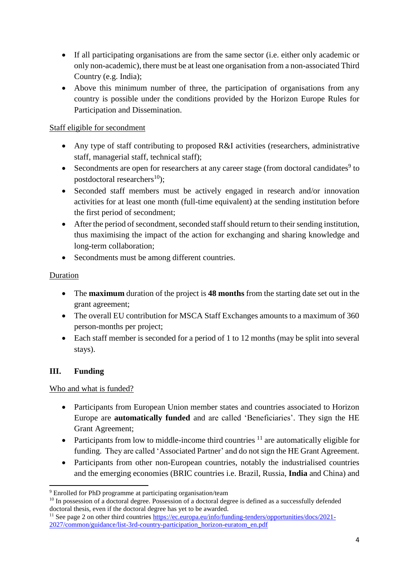- If all participating organisations are from the same sector (i.e. either only academic or only non-academic), there must be at least one organisation from a non-associated Third Country (e.g. India);
- Above this minimum number of three, the participation of organisations from any country is possible under the conditions provided by the Horizon Europe Rules for Participation and Dissemination.

#### Staff eligible for secondment

- Any type of staff contributing to proposed R&I activities (researchers, administrative staff, managerial staff, technical staff);
- Secondments are open for researchers at any career stage (from doctoral candidates $9$  to postdoctoral researchers<sup>10</sup>);
- Seconded staff members must be actively engaged in research and/or innovation activities for at least one month (full-time equivalent) at the sending institution before the first period of secondment;
- After the period of secondment, seconded staff should return to their sending institution, thus maximising the impact of the action for exchanging and sharing knowledge and long-term collaboration;
- Secondments must be among different countries.

#### Duration

- The **maximum** duration of the project is **48 months** from the starting date set out in the grant agreement;
- The overall EU contribution for MSCA Staff Exchanges amounts to a maximum of 360 person-months per project;
- Each staff member is seconded for a period of 1 to 12 months (may be split into several stays).

## **III. Funding**

1

Who and what is funded?

- Participants from European Union member states and countries associated to Horizon Europe are **automatically funded** and are called 'Beneficiaries'. They sign the HE Grant Agreement;
- Participants from low to middle-income third countries  $11$  are automatically eligible for funding. They are called 'Associated Partner' and do not sign the HE Grant Agreement.
- Participants from other non-European countries, notably the industrialised countries and the emerging economies (BRIC countries i.e. Brazil, Russia, **India** and China) and

<sup>9</sup> Enrolled for PhD programme at participating organisation/team

<sup>&</sup>lt;sup>10</sup> In possession of a doctoral degree. Possession of a doctoral degree is defined as a successfully defended doctoral thesis, even if the doctoral degree has yet to be awarded.

<sup>&</sup>lt;sup>11</sup> See page 2 on other third countries [https://ec.europa.eu/info/funding-tenders/opportunities/docs/2021-](https://ec.europa.eu/info/funding-tenders/opportunities/docs/2021-2027/common/guidance/list-3rd-country-participation_horizon-euratom_en.pdf) [2027/common/guidance/list-3rd-country-participation\\_horizon-euratom\\_en.pdf](https://ec.europa.eu/info/funding-tenders/opportunities/docs/2021-2027/common/guidance/list-3rd-country-participation_horizon-euratom_en.pdf)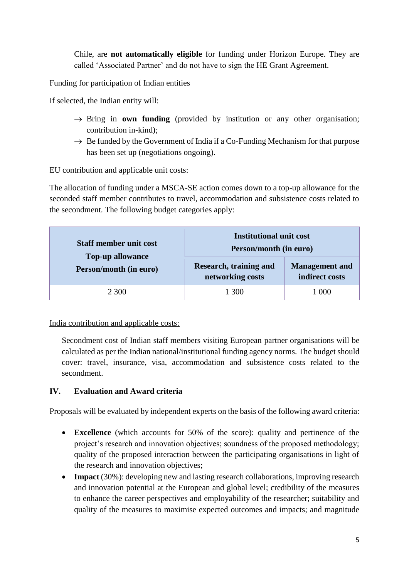Chile, are **not automatically eligible** for funding under Horizon Europe. They are called 'Associated Partner' and do not have to sign the HE Grant Agreement.

Funding for participation of Indian entities

If selected, the Indian entity will:

- $\rightarrow$  Bring in **own funding** (provided by institution or any other organisation; contribution in-kind);
- $\rightarrow$  Be funded by the Government of India if a Co-Funding Mechanism for that purpose has been set up (negotiations ongoing).

#### EU contribution and applicable unit costs:

The allocation of funding under a MSCA-SE action comes down to a top-up allowance for the seconded staff member contributes to travel, accommodation and subsistence costs related to the secondment. The following budget categories apply:

| <b>Staff member unit cost</b><br><b>Top-up allowance</b><br>Person/month (in euro) | <b>Institutional unit cost</b><br>Person/month (in euro) |                                         |
|------------------------------------------------------------------------------------|----------------------------------------------------------|-----------------------------------------|
|                                                                                    | <b>Research, training and</b><br>networking costs        | <b>Management</b> and<br>indirect costs |
| 2 300                                                                              | 1 300                                                    | 1 000                                   |

India contribution and applicable costs:

Secondment cost of Indian staff members visiting European partner organisations will be calculated as per the Indian national/institutional funding agency norms. The budget should cover: travel, insurance, visa, accommodation and subsistence costs related to the secondment.

## **IV. Evaluation and Award criteria**

Proposals will be evaluated by independent experts on the basis of the following award criteria:

- **Excellence** (which accounts for 50% of the score): quality and pertinence of the project's research and innovation objectives; soundness of the proposed methodology; quality of the proposed interaction between the participating organisations in light of the research and innovation objectives;
- **Impact** (30%): developing new and lasting research collaborations, improving research and innovation potential at the European and global level; credibility of the measures to enhance the career perspectives and employability of the researcher; suitability and quality of the measures to maximise expected outcomes and impacts; and magnitude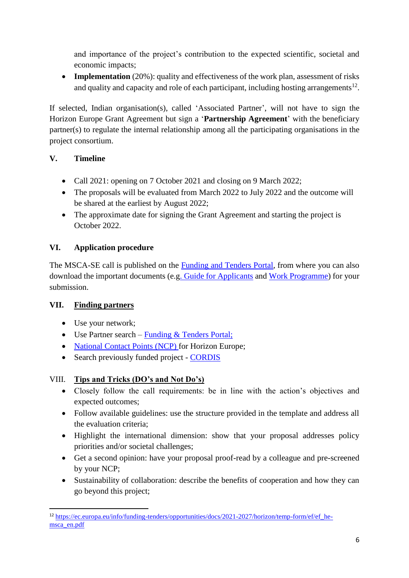and importance of the project's contribution to the expected scientific, societal and economic impacts;

• **Implementation** (20%): quality and effectiveness of the work plan, assessment of risks and quality and capacity and role of each participant, including hosting arrangements<sup>12</sup>.

If selected, Indian organisation(s), called 'Associated Partner', will not have to sign the Horizon Europe Grant Agreement but sign a '**Partnership Agreement**' with the beneficiary partner(s) to regulate the internal relationship among all the participating organisations in the project consortium.

# **V. Timeline**

- Call 2021: opening on 7 October 2021 and closing on 9 March 2022;
- The proposals will be evaluated from March 2022 to July 2022 and the outcome will be shared at the earliest by August 2022;
- The approximate date for signing the Grant Agreement and starting the project is October 2022.

# **VI. Application procedure**

The MSCA-SE call is published on the Funding [and Tenders Portal,](https://ec.europa.eu/info/funding-tenders/opportunities/portal/screen/opportunities/topic-details/horizon-msca-2021-se-01-01;callCode=null;freeTextSearchKeyword=;matchWholeText=true;typeCodes=0,1,2;statusCodes=31094501;programmePeriod=null;programCcm2Id=43108390;programDivisionCode=43108473;focusAreaCode=null;destination=null;mission=null;geographicalZonesCode=null;programmeDivisionProspect=null;startDateLte=null;startDateGte=null;crossCuttingPriorityCode=null;cpvCode=null;performanceOfDelivery=null;sortQuery=sortStatus;orderBy=asc;onlyTenders=false;topicListKey=topicSearchTablePageState) from where you can also download the important documents (e.[g. Guide for Applicants](https://rea.ec.europa.eu/system/files/2021-10/MSCA%20SE%202021%20-%20Guide%20for%20applicants_0.pdf) and [Work Programme\)](https://ec.europa.eu/info/funding-tenders/opportunities/docs/2021-2027/horizon/wp-call/2021-2022/wp-2-msca-actions_horizon-2021-2022_en.pdf) for your submission.

# **VII. Finding partners**

- Use your network;
- Use Partner search [Funding & Tenders Portal;](https://ec.europa.eu/info/funding-tenders/opportunities/portal/screen/how-to-participate/partner-search)
- [National Contact Points](https://ec.europa.eu/info/funding-tenders/opportunities/portal/screen/support/ncp) (NCP) for Horizon Europe;
- Search previously funded project [CORDIS](https://cordis.europa.eu/project/id/101022587)

## VIII. **Tips and Tricks (DO's and Not Do's)**

- Closely follow the call requirements: be in line with the action's objectives and expected outcomes;
- Follow available guidelines: use the structure provided in the template and address all the evaluation criteria;
- Highlight the international dimension: show that your proposal addresses policy priorities and/or societal challenges;
- Get a second opinion: have your proposal proof-read by a colleague and pre-screened by your NCP;
- Sustainability of collaboration: describe the benefits of cooperation and how they can go beyond this project;

<sup>1</sup> <sup>12</sup> [https://ec.europa.eu/info/funding-tenders/opportunities/docs/2021-2027/horizon/temp-form/ef/ef\\_he](https://ec.europa.eu/info/funding-tenders/opportunities/docs/2021-2027/horizon/temp-form/ef/ef_he-msca_en.pdf)[msca\\_en.pdf](https://ec.europa.eu/info/funding-tenders/opportunities/docs/2021-2027/horizon/temp-form/ef/ef_he-msca_en.pdf)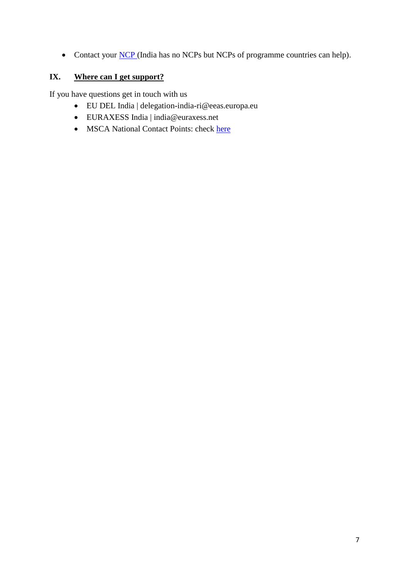• Contact your **NCP** (India has no [NCP](https://ec.europa.eu/info/funding-tenders/opportunities/portal/screen/support/ncp)s but NCPs of programme countries can help).

# **IX. Where can I get support?**

If you have questions get in touch with us

- EU DEL India | [delegation-india-ri@eeas.europa.eu](mailto:delegation-india-ri@eeas.europa.eu)
- EURAXESS India | [india@euraxess.net](mailto:india@euraxess.net)
- MSCA National Contact Points: check [here](https://ec.europa.eu/info/funding-tenders/opportunities/portal/screen/support/ncp;sortQuery=country;functions=5)